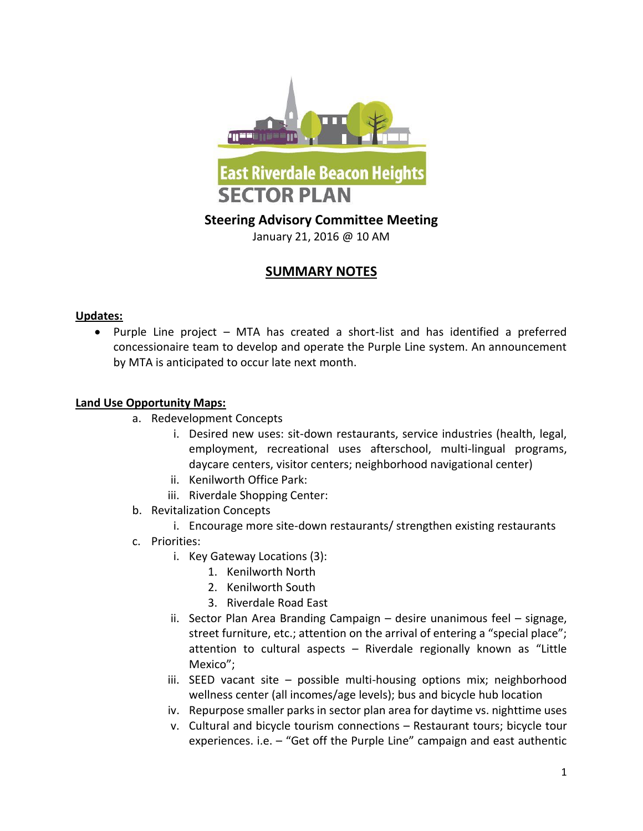

# **SUMMARY NOTES**

### **Updates:**

 Purple Line project – MTA has created a short-list and has identified a preferred concessionaire team to develop and operate the Purple Line system. An announcement by MTA is anticipated to occur late next month.

### **Land Use Opportunity Maps:**

- a. Redevelopment Concepts
	- i. Desired new uses: sit-down restaurants, service industries (health, legal, employment, recreational uses afterschool, multi-lingual programs, daycare centers, visitor centers; neighborhood navigational center)
	- ii. Kenilworth Office Park:
	- iii. Riverdale Shopping Center:
- b. Revitalization Concepts
	- i. Encourage more site-down restaurants/ strengthen existing restaurants
- c. Priorities:
	- i. Key Gateway Locations (3):
		- 1. Kenilworth North
		- 2. Kenilworth South
		- 3. Riverdale Road East
	- ii. Sector Plan Area Branding Campaign desire unanimous feel signage, street furniture, etc.; attention on the arrival of entering a "special place"; attention to cultural aspects – Riverdale regionally known as "Little Mexico";
	- iii. SEED vacant site possible multi-housing options mix; neighborhood wellness center (all incomes/age levels); bus and bicycle hub location
	- iv. Repurpose smaller parks in sector plan area for daytime vs. nighttime uses
	- v. Cultural and bicycle tourism connections Restaurant tours; bicycle tour experiences. i.e. – "Get off the Purple Line" campaign and east authentic